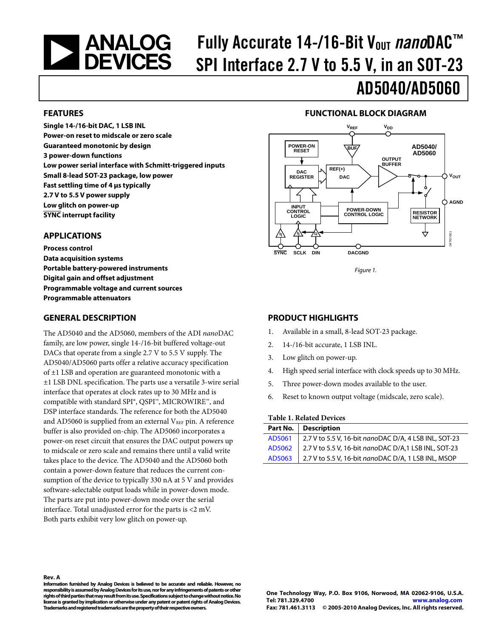# <span id="page-0-0"></span>**NEXALOGES**

## Fully Accurate 14-/16-Bit V<sub>out</sub> nanoDAC<sup>™</sup> SPI Interface 2.7 V to 5.5 V, in an SOT-23

#### **FEATURES**

**Single 14-/16-bit DAC, 1 LSB INL Power-on reset to midscale or zero scale Guaranteed monotonic by design 3 power-down functions Low power serial interface with Schmitt-triggered inputs Small 8-lead SOT-23 package, low power Fast settling time of 4 μs typically 2.7 V to 5.5 V power supply Low glitch on power-up SYNC interrupt facility** 

#### **APPLICATIONS**

**Process control Data acquisition systems Portable battery-powered instruments Digital gain and offset adjustment Programmable voltage and current sources Programmable attenuators** 

#### **GENERAL DESCRIPTION**

The AD5040 and the AD5060, members of the ADI *nano*DAC family, are low power, single 14-/16-bit buffered voltage-out DACs that operate from a single 2.7 V to 5.5 V supply. The AD5040/AD5060 parts offer a relative accuracy specification of ±1 LSB and operation are guaranteed monotonic with a ±1 LSB DNL specification. The parts use a versatile 3-wire serial interface that operates at clock rates up to 30 MHz and is compatible with standard SPI®, QSPI™, MICROWIRE™, and DSP interface standards. The reference for both the AD5040 and AD5060 is supplied from an external  $V_{REF}$  pin. A reference buffer is also provided on-chip. The AD5060 incorporates a power-on reset circuit that ensures the DAC output powers up to midscale or zero scale and remains there until a valid write takes place to the device. The AD5040 and the AD5060 both contain a power-down feature that reduces the current consumption of the device to typically 330 nA at 5 V and provides software-selectable output loads while in power-down mode. The parts are put into power-down mode over the serial interface. Total unadjusted error for the parts is <2 mV. Both parts exhibit very low glitch on power-up.

#### **FUNCTIONAL BLOCK DIAGRAM**

AD5040/AD5060



Figure 1.

#### **PRODUCT HIGHLIGHTS**

- 1. Available in a small, 8-lead SOT-23 package.
- 2. 14-/16-bit accurate, 1 LSB INL.
- 3. Low glitch on power-up.
- 4. High speed serial interface with clock speeds up to 30 MHz.
- 5. Three power-down modes available to the user.
- 6. Reset to known output voltage (midscale, zero scale).

#### **Table 1. Related Devices**

| Part No.   Description                                         |
|----------------------------------------------------------------|
| AD5061   2.7 V to 5.5 V, 16-bit nanoDAC D/A, 4 LSB INL, SOT-23 |
| AD5062 2.7 V to 5.5 V, 16-bit nanoDAC D/A,1 LSB INL, SOT-23    |
| AD5063 2.7 V to 5.5 V, 16-bit nanoDAC D/A, 1 LSB INL, MSOP     |

**Information furnished by Analog Devices is believed to be accurate and reliable. However, no responsibility is assumed by Analog Devices for its use, nor for any infringements of patents or other rights of third parties that may result from its use. Specifications subject to change without notice. No license is granted by implication or otherwise under any patent or patent rights of Analog Devices. Trademarks and registered trademarks are the property of their respective owners.**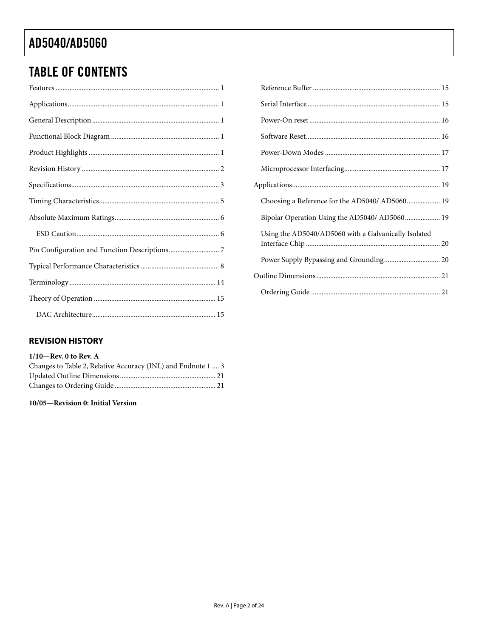### <span id="page-1-0"></span>**TABLE OF CONTENTS**

### Choosing a Reference for the AD5040/ AD5060................... 19 Bipolar Operation Using the AD5040/ AD5060.................... 19 Using the AD5040/AD5060 with a Galvanically Isolated

#### **REVISION HISTORY**

#### $1/10$ -Rev. 0 to Rev. A

| Changes to Table 2, Relative Accuracy (INL) and Endnote 1  3 |  |
|--------------------------------------------------------------|--|
|                                                              |  |
|                                                              |  |

#### 10/05-Revision 0: Initial Version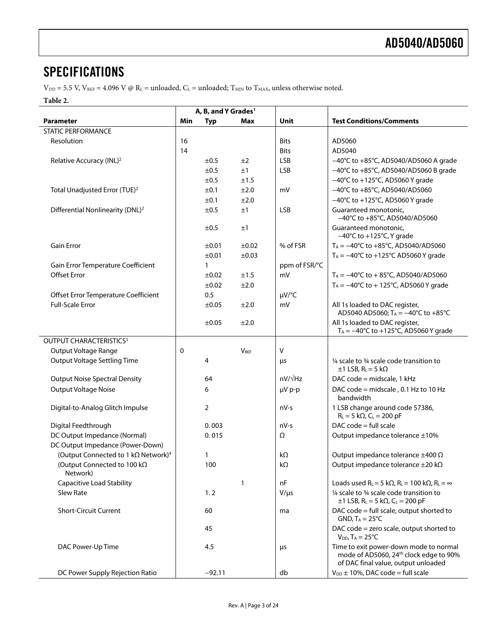### <span id="page-2-0"></span>**SPECIFICATIONS**

 $V_{\text{DD}} = 5.5$  V,  $V_{\text{REF}} = 4.096$  V @ R<sub>L</sub> = unloaded,  $C_{\text{L}}$  = unloaded; T<sub>MIN</sub> to T<sub>MAX</sub>, unless otherwise noted.

#### **Table 2.**

|                                                 | A, B, and Y Grades <sup>1</sup> |              |                        |                |                                                                                                                                     |
|-------------------------------------------------|---------------------------------|--------------|------------------------|----------------|-------------------------------------------------------------------------------------------------------------------------------------|
| Parameter                                       | Min                             | <b>Typ</b>   | Max                    | Unit           | <b>Test Conditions/Comments</b>                                                                                                     |
| STATIC PERFORMANCE                              |                                 |              |                        |                |                                                                                                                                     |
| Resolution                                      | 16                              |              |                        | <b>Bits</b>    | AD5060                                                                                                                              |
|                                                 | 14                              |              |                        | <b>Bits</b>    | AD5040                                                                                                                              |
| Relative Accuracy (INL) <sup>2</sup>            |                                 | ±0.5         | ±2                     | <b>LSB</b>     | -40°C to +85°C, AD5040/AD5060 A grade                                                                                               |
|                                                 |                                 | ±0.5         | ±1                     | <b>LSB</b>     | $-40^{\circ}$ C to +85 $^{\circ}$ C, AD5040/AD5060 B grade                                                                          |
|                                                 |                                 | ±0.5         | ±1.5                   |                | $-40^{\circ}$ C to +125 $^{\circ}$ C, AD5060 Y grade                                                                                |
| Total Unadjusted Error (TUE) <sup>2</sup>       |                                 | ±0.1         | ±2.0                   | mV             | -40°C to +85°C, AD5040/AD5060                                                                                                       |
|                                                 |                                 | ±0.1         | ±2.0                   |                | $-40^{\circ}$ C to +125 $^{\circ}$ C, AD5060 Y grade                                                                                |
| Differential Nonlinearity (DNL) <sup>2</sup>    |                                 | ±0.5         | ±1                     | <b>LSB</b>     | Guaranteed monotonic,<br>-40°C to +85°C, AD5040/AD5060                                                                              |
|                                                 |                                 | ±0.5         | ±1                     |                | Guaranteed monotonic,<br>$-40^{\circ}$ C to +125 $^{\circ}$ C, Y grade                                                              |
| <b>Gain Error</b>                               |                                 | ±0.01        | ±0.02                  | % of FSR       | $T_A = -40^{\circ}C$ to $+85^{\circ}C$ , AD5040/AD5060                                                                              |
|                                                 |                                 | ±0.01        | $\pm 0.03$             |                | $T_A = -40^{\circ}C$ to +125°C AD5060 Y grade                                                                                       |
| Gain Error Temperature Coefficient              |                                 | $\mathbf{1}$ |                        | ppm of FSR/°C  |                                                                                                                                     |
| <b>Offset Error</b>                             |                                 | ±0.02        | ±1.5                   | mV             | $T_A = -40^{\circ}$ C to + 85 $^{\circ}$ C, AD5040/AD5060                                                                           |
|                                                 |                                 | ±0.02        | ±2.0                   |                | $T_A = -40^{\circ}C$ to + 125 $^{\circ}C$ , AD5060 Y grade                                                                          |
| Offset Error Temperature Coefficient            |                                 | 0.5          |                        | $\mu V$ /°C    |                                                                                                                                     |
| <b>Full-Scale Error</b>                         |                                 | ±0.05        | ±2.0                   | mV             | All 1s loaded to DAC register,<br>AD5040 AD5060; TA = -40°C to +85°C                                                                |
|                                                 |                                 | ±0.05        | ±2.0                   |                | All 1s loaded to DAC register,<br>$T_A = -40^{\circ}C$ to +125°C, AD5060 Y grade                                                    |
| OUTPUT CHARACTERISTICS <sup>3</sup>             |                                 |              |                        |                |                                                                                                                                     |
| Output Voltage Range                            | 0                               |              | <b>V<sub>REF</sub></b> | $\vee$         |                                                                                                                                     |
| <b>Output Voltage Settling Time</b>             |                                 | 4            |                        | μs             | $\frac{1}{4}$ scale to $\frac{3}{4}$ scale code transition to<br>$\pm$ 1 LSB, R <sub>L</sub> = 5 k $\Omega$                         |
| <b>Output Noise Spectral Density</b>            |                                 | 64           |                        | $nV/\sqrt{Hz}$ | DAC code = midscale, 1 kHz                                                                                                          |
| <b>Output Voltage Noise</b>                     |                                 | 6            |                        | µV p-p         | DAC code = midscale, 0.1 Hz to 10 Hz<br>bandwidth                                                                                   |
| Digital-to-Analog Glitch Impulse                |                                 | 2            |                        | nV-s           | 1 LSB change around code 57386,<br>$R_L = 5 k\Omega$ , $C_L = 200 pF$                                                               |
| Digital Feedthrough                             |                                 | 0.003        |                        | $nV-s$         | $DAC code = full scale$                                                                                                             |
| DC Output Impedance (Normal)                    |                                 | 0.015        |                        | Ω              | Output impedance tolerance ±10%                                                                                                     |
| DC Output Impedance (Power-Down)                |                                 |              |                        |                |                                                                                                                                     |
| (Output Connected to 1 kΩ Network) <sup>4</sup> |                                 | 1            |                        | kΩ             | Output impedance tolerance $\pm 400 \Omega$                                                                                         |
| (Output Connected to 100 kΩ<br>Network)         |                                 | 100          |                        | $k\Omega$      | Output impedance tolerance ±20 kΩ                                                                                                   |
| <b>Capacitive Load Stability</b>                |                                 |              | $\mathbf{1}$           | nF             | Loads used R <sub>L</sub> = 5 k $\Omega$ , R <sub>L</sub> = 100 k $\Omega$ , R <sub>L</sub> = $\infty$                              |
| <b>Slew Rate</b>                                |                                 | 1.2          |                        | $V/\mu s$      | 1/4 scale to 3/4 scale code transition to<br>$\pm$ 1 LSB, R <sub>L</sub> = 5 k $\Omega$ , C <sub>L</sub> = 200 pF                   |
| <b>Short-Circuit Current</b>                    |                                 | 60           |                        | ma             | DAC code = full scale, output shorted to<br>GND, $T_A = 25^{\circ}C$                                                                |
|                                                 |                                 | 45           |                        |                | DAC code = zero scale, output shorted to<br>$V_{DD}$ , T <sub>A</sub> = 25°C                                                        |
| DAC Power-Up Time                               |                                 | 4.5          |                        | $\mu$ s        | Time to exit power-down mode to normal<br>mode of AD5060, 24 <sup>th</sup> clock edge to 90%<br>of DAC final value, output unloaded |
| DC Power Supply Rejection Ratio                 |                                 | $-92.11$     |                        | db             | $V_{DD}$ ± 10%, DAC code = full scale                                                                                               |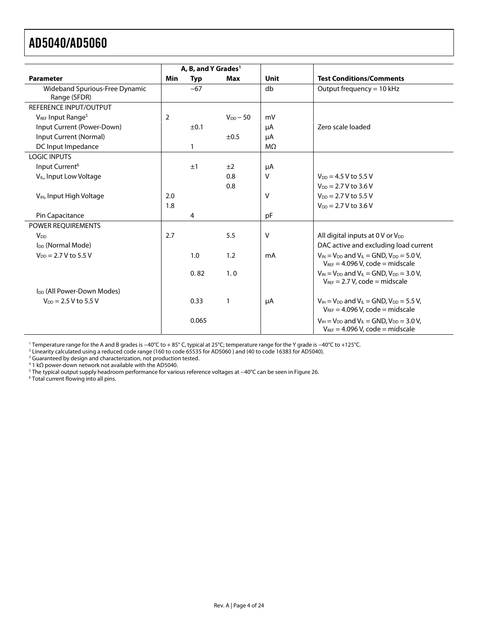<span id="page-3-1"></span><span id="page-3-0"></span>

|                                                | A, B, and Y Grades <sup>1</sup> |                |               |             |                                                                                                                              |
|------------------------------------------------|---------------------------------|----------------|---------------|-------------|------------------------------------------------------------------------------------------------------------------------------|
| <b>Parameter</b>                               | Min                             | <b>Typ</b>     | <b>Max</b>    | <b>Unit</b> | <b>Test Conditions/Comments</b>                                                                                              |
| Wideband Spurious-Free Dynamic<br>Range (SFDR) |                                 | $-67$          |               | db          | Output frequency = 10 kHz                                                                                                    |
| REFERENCE INPUT/OUTPUT                         |                                 |                |               |             |                                                                                                                              |
| VREF Input Range <sup>5</sup>                  | $\overline{2}$                  |                | $V_{DD}$ – 50 | mV          |                                                                                                                              |
| Input Current (Power-Down)                     |                                 | ±0.1           |               | μA          | Zero scale loaded                                                                                                            |
| Input Current (Normal)                         |                                 |                | ±0.5          | μA          |                                                                                                                              |
| DC Input Impedance                             |                                 | 1              |               | $M\Omega$   |                                                                                                                              |
| <b>LOGIC INPUTS</b>                            |                                 |                |               |             |                                                                                                                              |
| Input Current <sup>6</sup>                     |                                 | ±1             | ±2            | μA          |                                                                                                                              |
| V <sub>IL</sub> , Input Low Voltage            |                                 |                | 0.8           | v           | $V_{DD} = 4.5 V$ to 5.5 V                                                                                                    |
|                                                |                                 |                | 0.8           |             | $V_{DD} = 2.7 V$ to 3.6 V                                                                                                    |
| V <sub>IH</sub> , Input High Voltage           | 2.0                             |                |               | $\vee$      | $V_{DD} = 2.7 V$ to 5.5 V                                                                                                    |
|                                                |                                 |                |               |             | $V_{DD} = 2.7 V$ to 3.6 V                                                                                                    |
| Pin Capacitance                                |                                 | $\overline{4}$ |               | pF          |                                                                                                                              |
| <b>POWER REOUIREMENTS</b>                      |                                 |                |               |             |                                                                                                                              |
| <b>V<sub>DD</sub></b>                          | 2.7                             |                | 5.5           | $\vee$      | All digital inputs at $0 \vee$ or $V_{DD}$                                                                                   |
| I <sub>DD</sub> (Normal Mode)                  |                                 |                |               |             | DAC active and excluding load current                                                                                        |
| $V_{DD} = 2.7 V$ to 5.5 V                      |                                 | 1.0            | 1.2           | mA          | $V_{IN}$ = $V_{DD}$ and $V_{IL}$ = GND, $V_{DD}$ = 5.0 V,<br>$V_{REF}$ = 4.096 V, code = midscale                            |
|                                                |                                 | 0.82           | 1.0           |             | $V_{IN} = V_{DD}$ and $V_{IL} = GND$ , $V_{DD} = 3.0$ V,<br>$V_{REF}$ = 2.7 V, code = midscale                               |
| I <sub>DD</sub> (All Power-Down Modes)         |                                 |                |               |             |                                                                                                                              |
| $V_{DD} = 2.5 V$ to 5.5 V                      |                                 | 0.33           | $\mathbf{1}$  | μA          | $V_{\text{IH}} = V_{\text{DD}}$ and $V_{\text{IL}} =$ GND, $V_{\text{DD}} = 5.5$ V,<br>$V_{REF} = 4.096 V$ , code = midscale |
|                                                |                                 | 0.065          |               |             | $V_{\text{IH}} = V_{\text{DD}}$ and $V_{\text{IL}} =$ GND, $V_{\text{DD}} = 3.0$ V,<br>$V_{REF} = 4.096 V$ , code = midscale |

1 Temperature range for the A and B grades is −40°C to + 85° C, typical at 25°C; temperature range for the Y grade is −40°C to +125°C. 2

<sup>2</sup> Linearity calculated using a reduced code range (160 to code 65535 for AD5060 ) and (40 to code 16383 for AD5040).<br><sup>3</sup> Guaranteed by design and characterization, not production tested.<br><sup>4</sup> 1 kΩ power-down network not

<sup>5</sup> The typical output supply headroom performance for various reference voltages at −40°C can be seen in Figure 26.<br><sup>6</sup> Total current flowing into all pins.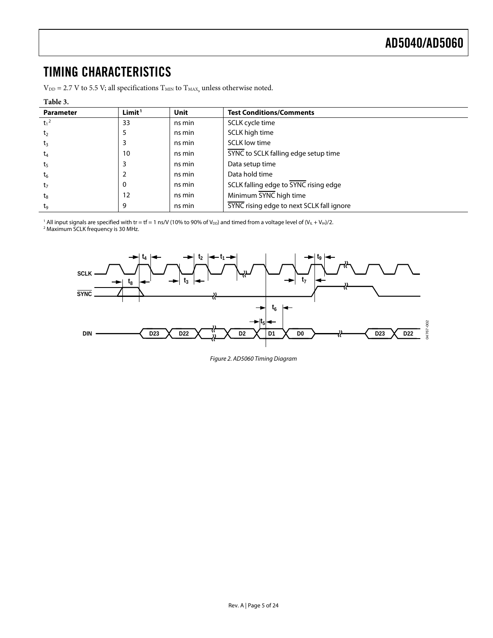### <span id="page-4-0"></span>TIMING CHARACTERISTICS

 $V_{DD} = 2.7$  V to 5.5 V; all specifications  $T_{MIN}$  to  $T_{MAX}$ , unless otherwise noted.

#### **Table 3.**

| .                |                    |             |                                           |
|------------------|--------------------|-------------|-------------------------------------------|
| <b>Parameter</b> | Limit <sup>1</sup> | <b>Unit</b> | <b>Test Conditions/Comments</b>           |
| $t_1^2$          | 33                 | ns min      | SCLK cycle time                           |
| t <sub>2</sub>   | 5                  | ns min      | SCLK high time                            |
| $t_3$            |                    | ns min      | <b>SCLK low time</b>                      |
| $t_4$            | 10                 | ns min      | SYNC to SCLK falling edge setup time      |
| t <sub>5</sub>   | 3                  | ns min      | Data setup time                           |
| $t_6$            |                    | ns min      | Data hold time                            |
| t <sub>7</sub>   | 0                  | ns min      | SCLK falling edge to SYNC rising edge     |
| $t_8$            | 12                 | ns min      | Minimum SYNC high time                    |
| tg               | 9                  | ns min      | SYNC rising edge to next SCLK fall ignore |
|                  |                    |             |                                           |

<sup>1</sup> All input signals are specified with tr = tf = 1 ns/V (10% to 90% of V<sub>DD</sub>) and timed from a voltage level of (V<sub>IL</sub> + V<sub>IH</sub>)/2.<br><sup>2</sup> Maximum SCLK frequency is 30 MHz.

<span id="page-4-1"></span>

Figure 2. AD5060 Timing Diagram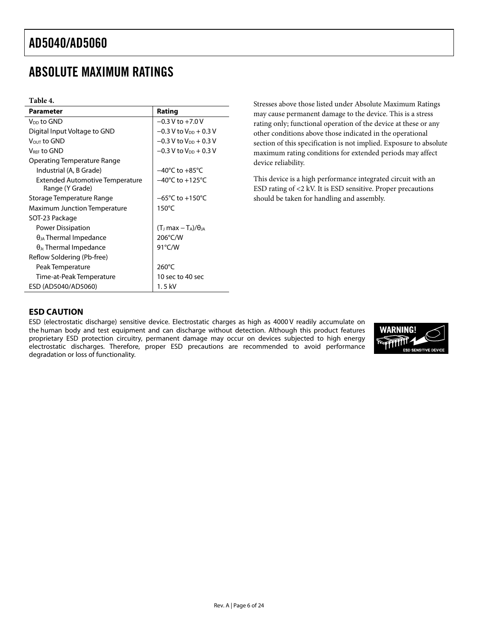### <span id="page-5-0"></span>ABSOLUTE MAXIMUM RATINGS

#### **Table 4.**

| <b>Parameter</b>                                          | Rating                              |
|-----------------------------------------------------------|-------------------------------------|
| V <sub>DD</sub> to GND                                    | $-0.3 V$ to $+7.0 V$                |
| Digital Input Voltage to GND                              | $-0.3$ V to V <sub>DD</sub> + 0.3 V |
| Vout to GND                                               | $-0.3$ V to V <sub>DD</sub> + 0.3 V |
| V <sub>REE</sub> to GND                                   | $-0.3$ V to V <sub>DD</sub> + 0.3 V |
| Operating Temperature Range                               |                                     |
| Industrial (A, B Grade)                                   | $-40^{\circ}$ C to $+85^{\circ}$ C  |
| <b>Extended Automotive Temperature</b><br>Range (Y Grade) | $-40^{\circ}$ C to $+125^{\circ}$ C |
| Storage Temperature Range                                 | $-65^{\circ}$ C to $+150^{\circ}$ C |
| Maximum Junction Temperature                              | $150^{\circ}$ C                     |
| SOT-23 Package                                            |                                     |
| Power Dissipation                                         | $(TJ max - TA)/\thetaJA$            |
| $\theta_{JA}$ Thermal Impedance                           | 206°C/W                             |
| $\theta_{\rm Jc}$ Thermal Impedance                       | 91°C/W                              |
| Reflow Soldering (Pb-free)                                |                                     |
| Peak Temperature                                          | $260^{\circ}$ C                     |
| Time-at-Peak Temperature                                  | 10 sec to 40 sec                    |
| ESD (AD5040/AD5060)                                       | 1. 5 kV                             |

Stresses above those listed under Absolute Maximum Ratings may cause permanent damage to the device. This is a stress rating only; functional operation of the device at these or any other conditions above those indicated in the operational section of this specification is not implied. Exposure to absolute maximum rating conditions for extended periods may affect device reliability.

This device is a high performance integrated circuit with an ESD rating of <2 kV. It is ESD sensitive. Proper precautions should be taken for handling and assembly.

#### **ESD CAUTION**

ESD (electrostatic discharge) sensitive device. Electrostatic charges as high as 4000 V readily accumulate on the human body and test equipment and can discharge without detection. Although this product features proprietary ESD protection circuitry, permanent damage may occur on devices subjected to high energy electrostatic discharges. Therefore, proper ESD precautions are recommended to avoid performance degradation or loss of functionality.

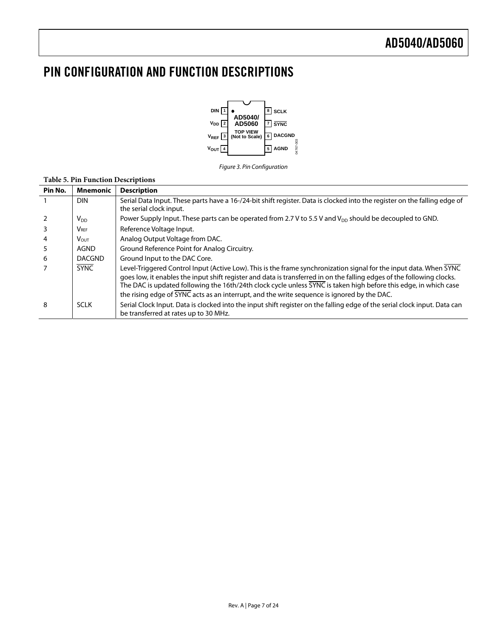### <span id="page-6-0"></span>PIN CONFIGURATION AND FUNCTION DESCRIPTIONS



#### Figure 3. Pin Configuration

| Pin No.        | <b>Mnemonic</b>  | <b>Description</b>                                                                                                                                                                                                                                                                                                                                                                                                                                              |
|----------------|------------------|-----------------------------------------------------------------------------------------------------------------------------------------------------------------------------------------------------------------------------------------------------------------------------------------------------------------------------------------------------------------------------------------------------------------------------------------------------------------|
|                | <b>DIN</b>       | Serial Data Input. These parts have a 16-/24-bit shift register. Data is clocked into the register on the falling edge of<br>the serial clock input.                                                                                                                                                                                                                                                                                                            |
| 2              | $V_{DD}$         | Power Supply Input. These parts can be operated from 2.7 V to 5.5 V and $V_{DD}$ should be decoupled to GND.                                                                                                                                                                                                                                                                                                                                                    |
| 3              | $V_{\text{REF}}$ | Reference Voltage Input.                                                                                                                                                                                                                                                                                                                                                                                                                                        |
| $\overline{4}$ | Vout.            | Analog Output Voltage from DAC.                                                                                                                                                                                                                                                                                                                                                                                                                                 |
| 5              | AGND             | Ground Reference Point for Analog Circuitry.                                                                                                                                                                                                                                                                                                                                                                                                                    |
| 6              | <b>DACGND</b>    | Ground Input to the DAC Core.                                                                                                                                                                                                                                                                                                                                                                                                                                   |
| $\overline{7}$ | <b>SYNC</b>      | Level-Triggered Control Input (Active Low). This is the frame synchronization signal for the input data. When SYNC<br>goes low, it enables the input shift register and data is transferred in on the falling edges of the following clocks.<br>The DAC is updated following the 16th/24th clock cycle unless SYNC is taken high before this edge, in which case<br>the rising edge of SYNC acts as an interrupt, and the write sequence is ignored by the DAC. |
| 8              | <b>SCLK</b>      | Serial Clock Input. Data is clocked into the input shift register on the falling edge of the serial clock input. Data can<br>be transferred at rates up to 30 MHz.                                                                                                                                                                                                                                                                                              |

#### **Table 5. Pin Function Descriptions**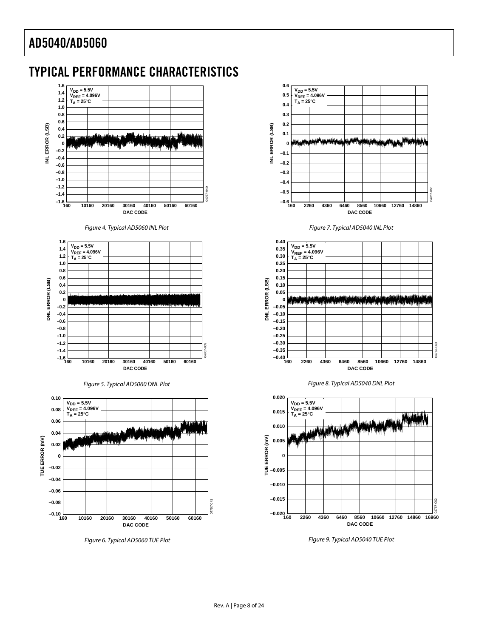### <span id="page-7-0"></span>TYPICAL PERFORMANCE CHARACTERISTICS



Figure 4. Typical AD5060 INL Plot Figure 7. Typical AD5040 INL Plot

<span id="page-7-1"></span>



<span id="page-7-2"></span>

<span id="page-7-3"></span>Figure 9. Typical AD5040 TUE Plot Figure 6. Typical AD5060 TUE Plot







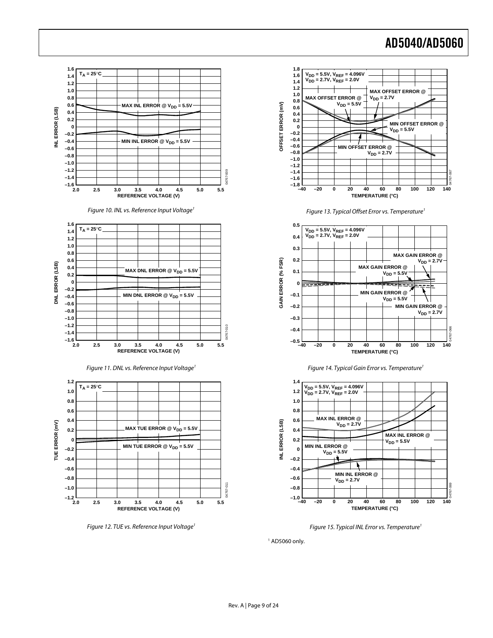

Figure 15. Typical INL Error vs. Temperature<sup>1</sup>

 $1$  AD5060 only.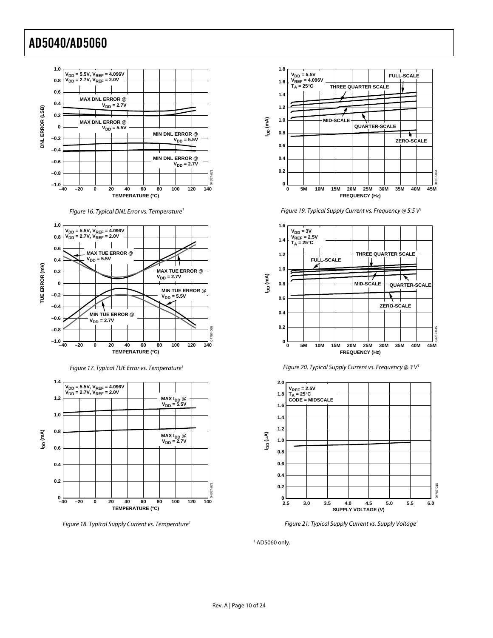







Figure 18. Typical Supply Current vs. Temperature<sup>1</sup>











Figure 21. Typical Supply Current vs. Supply Voltage<sup>1</sup>

 $1$  AD5060 only.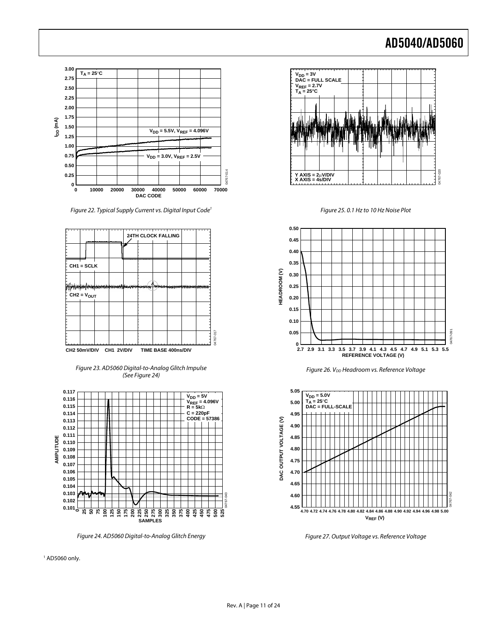

Figure 22. Typical Supply Current vs. Digital Input Code<sup>1</sup>



Figure 23. AD5060 Digital-to-Analog Glitch Impulse (See [Figure 24](#page-10-0))

<span id="page-10-1"></span>

Figure 24. AD5060 Digital-to-Analog Glitch Energy

<span id="page-10-0"></span>1 AD5060 only.



Figure 25. 0.1 Hz to 10 Hz Noise Plot







Figure 27. Output Voltage vs. Reference Voltage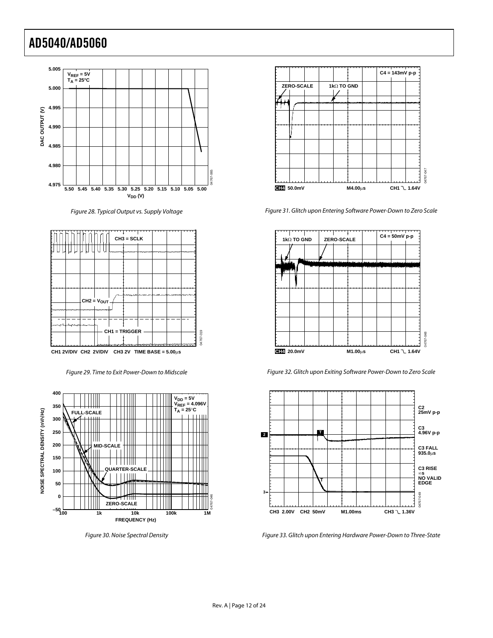

Figure 28. Typical Output vs. Supply Voltage



Figure 29. Time to Exit Power-Down to Midscale

<span id="page-11-0"></span>

Figure 30. Noise Spectral Density



Figure 31. Glitch upon Entering Software Power-Down to Zero Scale



Figure 32. Glitch upon Exiting Software Power-Down to Zero Scale



Figure 33. Glitch upon Entering Hardware Power-Down to Three-State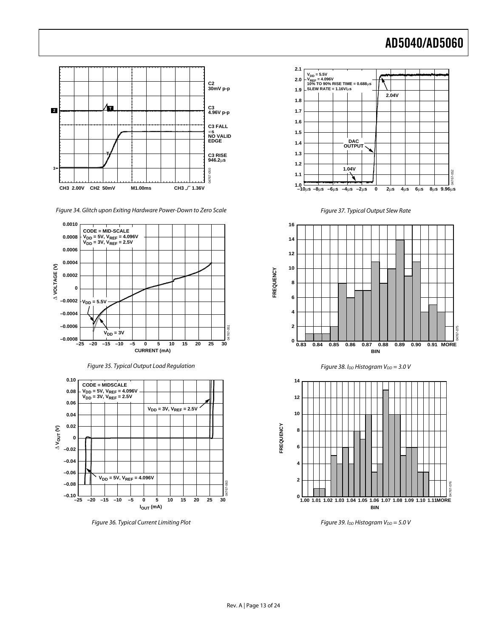

Figure 34. Glitch upon Exiting Hardware Power-Down to Zero Scale Figure 37. Typical Output Slew Rate







Figure 36. Typical Current Limiting Plot Figure 39. I<sub>DD</sub> Histogram V<sub>DD</sub> = 5.0 V





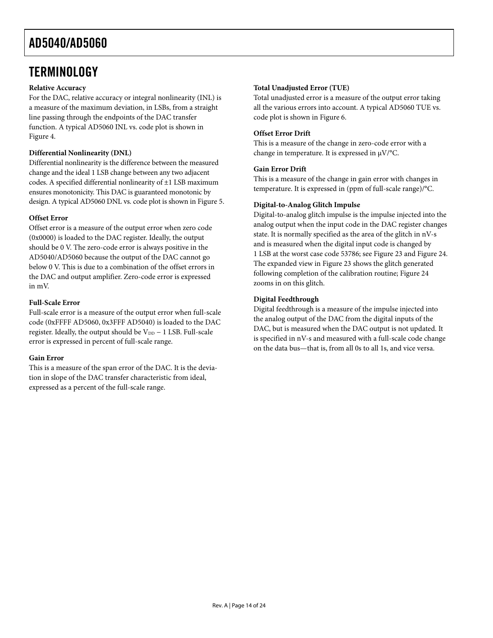### <span id="page-13-0"></span>**TERMINOLOGY**

#### **Relative Accuracy**

For the DAC, relative accuracy or integral nonlinearity (INL) is a measure of the maximum deviation, in LSBs, from a straight line passing through the endpoints of the DAC transfer function. A typical AD5060 INL vs. code plot is shown in [Figure 4](#page-7-1).

#### **Differential Nonlinearity (DNL)**

Differential nonlinearity is the difference between the measured change and the ideal 1 LSB change between any two adjacent codes. A specified differential nonlinearity of ±1 LSB maximum ensures monotonicity. This DAC is guaranteed monotonic by design. A typical AD5060 DNL vs. code plot is shown in [Figure 5](#page-7-2).

#### **Offset Error**

Offset error is a measure of the output error when zero code (0x0000) is loaded to the DAC register. Ideally, the output should be 0 V. The zero-code error is always positive in the AD5040/AD5060 because the output of the DAC cannot go below 0 V. This is due to a combination of the offset errors in the DAC and output amplifier. Zero-code error is expressed in mV.

#### **Full-Scale Error**

Full-scale error is a measure of the output error when full-scale code (0xFFFF AD5060, 0x3FFF AD5040) is loaded to the DAC register. Ideally, the output should be  $V_{DD} - 1$  LSB. Full-scale error is expressed in percent of full-scale range.

#### **Gain Error**

This is a measure of the span error of the DAC. It is the deviation in slope of the DAC transfer characteristic from ideal, expressed as a percent of the full-scale range.

#### **Total Unadjusted Error (TUE)**

Total unadjusted error is a measure of the output error taking all the various errors into account. A typical AD5060 TUE vs. code plot is shown in [Figure 6](#page-7-3).

#### **Offset Error Drift**

This is a measure of the change in zero-code error with a change in temperature. It is expressed in μV/°C.

#### **Gain Error Drift**

This is a measure of the change in gain error with changes in temperature. It is expressed in (ppm of full-scale range)/°C.

#### **Digital-to-Analog Glitch Impulse**

Digital-to-analog glitch impulse is the impulse injected into the analog output when the input code in the DAC register changes state. It is normally specified as the area of the glitch in nV-s and is measured when the digital input code is changed by 1 LSB at the worst case code 53786; see [Figure 23](#page-10-1) and [Figure 24](#page-10-0). The expanded view in [Figure 23](#page-10-1) shows the glitch generated following completion of the calibration routine; [Figure 24](#page-10-0) zooms in on this glitch.

#### **Digital Feedthrough**

Digital feedthrough is a measure of the impulse injected into the analog output of the DAC from the digital inputs of the DAC, but is measured when the DAC output is not updated. It is specified in nV-s and measured with a full-scale code change on the data bus—that is, from all 0s to all 1s, and vice versa.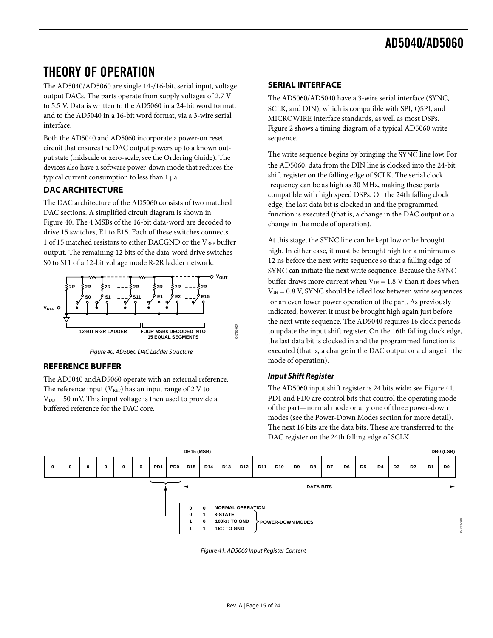### <span id="page-14-0"></span>THEORY OF OPERATION

The AD5040/AD5060 are single 14-/16-bit, serial input, voltage output DACs. The parts operate from supply voltages of 2.7 V to 5.5 V. Data is written to the AD5060 in a 24-bit word format, and to the AD5040 in a 16-bit word format, via a 3-wire serial interface.

Both the AD5040 and AD5060 incorporate a power-on reset circuit that ensures the DAC output powers up to a known output state (midscale or zero-scale, see the [Ordering Guide](#page-20-1)). The devices also have a software power-down mode that reduces the typical current consumption to less than 1 μa.

#### **DAC ARCHITECTURE**

The DAC architecture of the AD5060 consists of two matched DAC sections. A simplified circuit diagram is shown in [Figure 40](#page-14-1). The 4 MSBs of the 16-bit data-word are decoded to drive 15 switches, E1 to E15. Each of these switches connects 1 of 15 matched resistors to either DACGND or the  $V_{REF}$  buffer output. The remaining 12 bits of the data-word drive switches S0 to S11 of a 12-bit voltage mode R-2R ladder network.





#### <span id="page-14-1"></span>**REFERENCE BUFFER**

The AD5040 andAD5060 operate with an external reference. The reference input ( $V_{REF}$ ) has an input range of 2 V to  $V_{DD}$  – 50 mV. This input voltage is then used to provide a buffered reference for the DAC core.

#### **SERIAL INTERFACE**

The AD5060/AD5040 have a 3-wire serial interface (SYNC, SCLK, and DIN), which is compatible with SPI, QSPI, and MICROWIRE interface standards, as well as most DSPs. [Figure 2](#page-4-1) shows a timing diagram of a typical AD5060 write sequence.

The write sequence begins by bringing the SYNC line low. For the AD5060, data from the DIN line is clocked into the 24-bit shift register on the falling edge of SCLK. The serial clock frequency can be as high as 30 MHz, making these parts compatible with high speed DSPs. On the 24th falling clock edge, the last data bit is clocked in and the programmed function is executed (that is, a change in the DAC output or a change in the mode of operation).

At this stage, the  $\overline{\text{SYNC}}$  line can be kept low or be brought high. In either case, it must be brought high for a minimum of 12 ns before the next write sequence so that a falling edge of SYNC can initiate the next write sequence. Because the SYNC buffer draws more current when  $V_{\text{IH}} = 1.8$  V than it does when  $V_{\text{IH}} = 0.8$  V,  $\overline{\text{SYNC}}$  should be idled low between write sequences for an even lower power operation of the part. As previously indicated, however, it must be brought high again just before the next write sequence. The AD5040 requires 16 clock periods to update the input shift register. On the 16th falling clock edge, the last data bit is clocked in and the programmed function is executed (that is, a change in the DAC output or a change in the mode of operation).

#### **Input Shift Register**

The AD5060 input shift register is 24 bits wide; see [Figure 41.](#page-14-2) PD1 and PD0 are control bits that control the operating mode of the part—normal mode or any one of three power-down modes (see the [Power-Down Modes](#page-16-1) section for more detail). The next 16 bits are the data bits. These are transferred to the DAC register on the 24th falling edge of SCLK.

<span id="page-14-2"></span>

Figure 41. AD5060 Input Register Content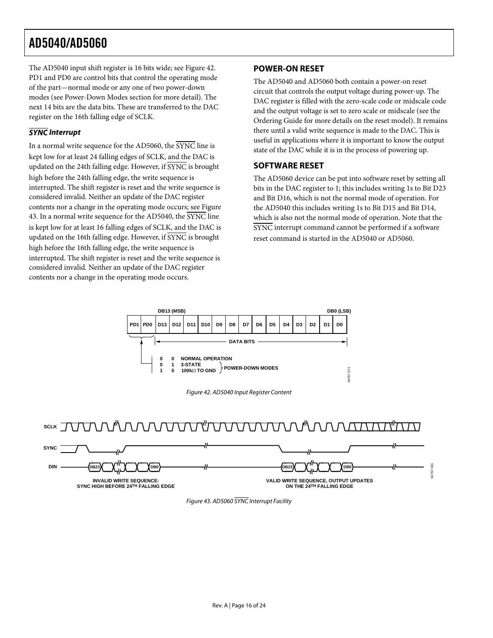<span id="page-15-0"></span>The AD5040 input shift register is 16 bits wide; see [Figure 42.](#page-15-1) PD1 and PD0 are control bits that control the operating mode of the part—normal mode or any one of two power-down modes (see [Power-Down Modes](#page-16-1) section for more detail). The next 14 bits are the data bits. These are transferred to the DAC register on the 16th falling edge of SCLK.

#### **SYNC Interrupt**

<span id="page-15-3"></span>In a normal write sequence for the AD5060, the SYNC line is kept low for at least 24 falling edges of SCLK, and the DAC is updated on the 24th falling edge. However, if SYNC is brought high before the 24th falling edge, the write sequence is interrupted. The shift register is reset and the write sequence is considered invalid. Neither an update of the DAC register contents nor a change in the operating mode occurs; see [Figure](#page-15-2)  [43](#page-15-2). In a normal write sequence for the AD5040, the SYNC line is kept low for at least 16 falling edges of SCLK, and the DAC is updated on the 16th falling edge. However, if SYNC is brought high before the 16th falling edge, the write sequence is interrupted. The shift register is reset and the write sequence is considered invalid. Neither an update of the DAC register contents nor a change in the operating mode occurs.

#### **POWER-ON RESET**

The AD5040 and AD5060 both contain a power-on reset circuit that controls the output voltage during power-up. The DAC register is filled with the zero-scale code or midscale code and the output voltage is set to zero scale or midscale (see the [Ordering Guide](#page-20-1) for more details on the reset model). It remains there until a valid write sequence is made to the DAC. This is useful in applications where it is important to know the output state of the DAC while it is in the process of powering up.

#### **SOFTWARE RESET**

The AD5060 device can be put into software reset by setting all bits in the DAC register to 1; this includes writing 1s to Bit D23 and Bit D16, which is not the normal mode of operation. For the AD5040 this includes writing 1s to Bit D15 and Bit D14, which is also not the normal mode of operation. Note that the SYNC interrupt command cannot be performed if a software reset command is started in the AD5040 or AD5060.



Figure 42. AD5040 Input Register Content

<span id="page-15-1"></span>

<span id="page-15-2"></span>

Figure 43. AD5060 SYNC Interrupt Facility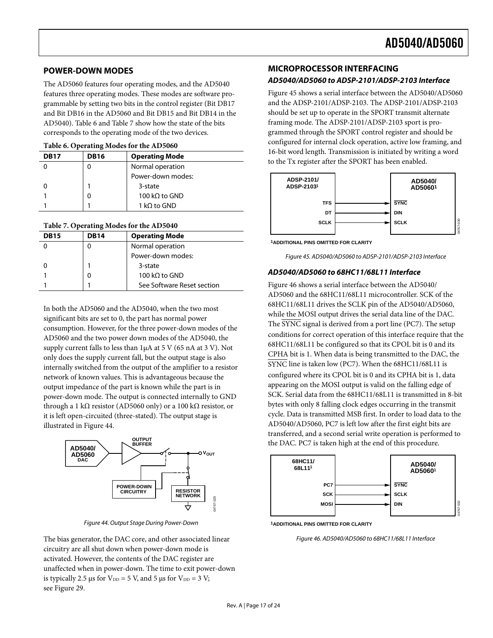#### <span id="page-16-1"></span><span id="page-16-0"></span>**POWER-DOWN MODES**

The AD5060 features four operating modes, and the AD5040 features three operating modes. These modes are software programmable by setting two bits in the control register (Bit DB17 and Bit DB16 in the AD5060 and Bit DB15 and Bit DB14 in the AD5040). [Table 6](#page-16-2) and [Table 7](#page-16-3) show how the state of the bits corresponds to the operating mode of the two devices.

#### **Table 6. Operating Modes for the AD5060**

<span id="page-16-2"></span>

| <b>DB17</b> | ີ<br><b>DB16</b> | <b>Operating Mode</b> |
|-------------|------------------|-----------------------|
|             |                  | Normal operation      |
|             |                  | Power-down modes:     |
|             |                  | 3-state               |
|             |                  | 100 kQ to GND         |
|             |                  | 1 kΩ to GND           |

#### <span id="page-16-3"></span>**Table 7. Operating Modes for the AD5040**

<span id="page-16-5"></span>

| DB <sub>15</sub> | <b>DB14</b> | <b>Operating Mode</b>      |
|------------------|-------------|----------------------------|
|                  |             | Normal operation           |
|                  |             | Power-down modes:          |
|                  |             | 3-state                    |
|                  |             | 100 kQ to GND              |
|                  |             | See Software Reset section |

In both the AD5060 and the AD5040, when the two most significant bits are set to 0, the part has normal power consumption. However, for the three power-down modes of the AD5060 and the two power down modes of the AD5040, the supply current falls to less than  $1\mu A$  at 5 V (65 nA at 3 V). Not only does the supply current fall, but the output stage is also internally switched from the output of the amplifier to a resistor network of known values. This is advantageous because the output impedance of the part is known while the part is in power-down mode. The output is connected internally to GND through a 1 kΩ resistor (AD5060 only) or a 100 kΩ resistor, or it is left open-circuited (three-stated). The output stage is illustrated in [Figure 44.](#page-16-4)



Figure 44. Output Stage During Power-Down

<span id="page-16-6"></span><span id="page-16-4"></span>The bias generator, the DAC core, and other associated linear circuitry are all shut down when power-down mode is activated. However, the contents of the DAC register are unaffected when in power-down. The time to exit power-down is typically 2.5 μs for  $V_{DD} = 5$  V, and 5 μs for  $V_{DD} = 3$  V; see [Figure 29](#page-11-0).

#### **MICROPROCESSOR INTERFACING**

#### **AD5040/AD5060 to ADSP-2101/ADSP-2103 Interface**

[Figure 45](#page-16-5) shows a serial interface between the AD5040/AD5060 and the ADSP-2101/ADSP-2103. The ADSP-2101/ADSP-2103 should be set up to operate in the SPORT transmit alternate framing mode. The ADSP-2101/ADSP-2103 sport is programmed through the SPORT control register and should be configured for internal clock operation, active low framing, and 16-bit word length. Transmission is initiated by writing a word to the Tx register after the SPORT has been enabled.



**1ADDITIONAL PINS OMITTED FOR CLARITY**

Figure 45. AD5040/AD5060 to ADSP-2101/ADSP-2103 Interface

#### **AD5040/AD5060 to 68HC11/68L11 Interface**

[Figure 46](#page-16-6) shows a serial interface between the AD5040/ AD5060 and the 68HC11/68L11 microcontroller. SCK of the 68HC11/68L11 drives the SCLK pin of the AD5040/AD5060, while the MOSI output drives the serial data line of the DAC. The SYNC signal is derived from a port line (PC7). The setup conditions for correct operation of this interface require that the 68HC11/68L11 be configured so that its CPOL bit is 0 and its CPHA bit is 1. When data is being transmitted to the DAC, the SYNC line is taken low (PC7). When the 68HC11/68L11 is configured where its CPOL bit is 0 and its CPHA bit is 1, data appearing on the MOSI output is valid on the falling edge of SCK. Serial data from the 68HC11/68L11 is transmitted in 8-bit bytes with only 8 falling clock edges occurring in the transmit cycle. Data is transmitted MSB first. In order to load data to the AD5040/AD5060, PC7 is left low after the first eight bits are transferred, and a second serial write operation is performed to the DAC. PC7 is taken high at the end of this procedure.



**1ADDITIONAL PINS OMITTED FOR CLARITY**

Figure 46. AD5040/AD5060 to 68HC11/68L11 Interface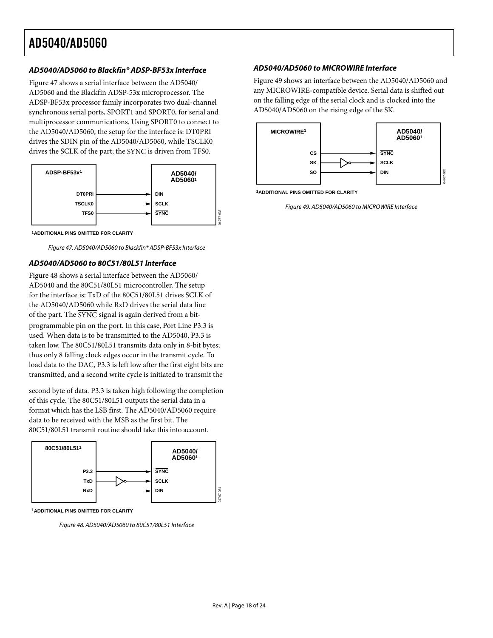#### **AD5040/AD5060 to Blackfin® ADSP-BF53x Interface AD5040/AD5060 to MICROWIRE Interface**

[Figure 47](#page-17-0) shows a serial interface between the AD5040/ AD5060 and the Blackfin ADSP-53x microprocessor. The ADSP-BF53x processor family incorporates two dual-channel synchronous serial ports, SPORT1 and SPORT0, for serial and multiprocessor communications. Using SPORT0 to connect to the AD5040/AD5060, the setup for the interface is: DT0PRI drives the SDIN pin of the AD5040/AD5060, while TSCLK0 drives the SCLK of the part; the  $\overline{\text{SYNC}}$  is driven from TFS0.



<span id="page-17-2"></span>**1ADDITIONAL PINS OMITTED FOR CLARITY**

Figure 47. AD5040/AD5060 to Blackfin® ADSP-BF53x Interface

#### <span id="page-17-0"></span>**AD5040/AD5060 to 80C51/80L51 Interface**

[Figure 48](#page-17-1) shows a serial interface between the AD5060/ AD5040 and the 80C51/80L51 microcontroller. The setup for the interface is: TxD of the 80C51/80L51 drives SCLK of the AD5040/AD5060 while RxD drives the serial data line of the part. The SYNC signal is again derived from a bitprogrammable pin on the port. In this case, Port Line P3.3 is used. When data is to be transmitted to the AD5040, P3.3 is taken low. The 80C51/80L51 transmits data only in 8-bit bytes; thus only 8 falling clock edges occur in the transmit cycle. To load data to the DAC, P3.3 is left low after the first eight bits are transmitted, and a second write cycle is initiated to transmit the

second byte of data. P3.3 is taken high following the completion of this cycle. The 80C51/80L51 outputs the serial data in a format which has the LSB first. The AD5040/AD5060 require data to be received with the MSB as the first bit. The 80C51/80L51 transmit routine should take this into account.



<span id="page-17-1"></span>**1ADDITIONAL PINS OMITTED FOR CLARITY**

Figure 48. AD5040/AD5060 to 80C51/80L51 Interface

[Figure 49](#page-17-2) shows an interface between the AD5040/AD5060 and any MICROWIRE-compatible device. Serial data is shifted out on the falling edge of the serial clock and is clocked into the AD5040/AD5060 on the rising edge of the SK.



**1ADDITIONAL PINS OMITTED FOR CLARITY**

Figure 49. AD5040/AD5060 to MICROWIRE Interface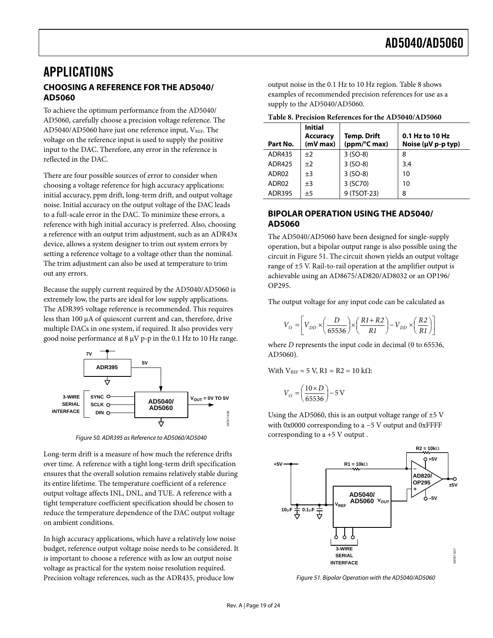### <span id="page-18-0"></span>APPLICATIONS **CHOOSING A REFERENCE FOR THE AD5040/ AD5060**

<span id="page-18-1"></span>To achieve the optimum performance from the AD5040/ AD5060, carefully choose a precision voltage reference. The AD5040/AD5060 have just one reference input,  $V_{REF}$ . The voltage on the reference input is used to supply the positive input to the DAC. Therefore, any error in the reference is reflected in the DAC.

There are four possible sources of error to consider when choosing a voltage reference for high accuracy applications: initial accuracy, ppm drift, long-term drift, and output voltage noise. Initial accuracy on the output voltage of the DAC leads to a full-scale error in the DAC. To minimize these errors, a reference with high initial accuracy is preferred. Also, choosing a reference with an output trim adjustment, such as an ADR43x device, allows a system designer to trim out system errors by setting a reference voltage to a voltage other than the nominal. The trim adjustment can also be used at temperature to trim out any errors.

Because the supply current required by the AD5040/AD5060 is extremely low, the parts are ideal for low supply applications. The ADR395 voltage reference is recommended. This requires less than 100 μA of quiescent current and can, therefore, drive multiple DACs in one system, if required. It also provides very good noise performance at 8 μV p-p in the 0.1 Hz to 10 Hz range.



Figure 50. ADR395 as Reference to AD5060/AD5040

Long-term drift is a measure of how much the reference drifts over time. A reference with a tight long-term drift specification ensures that the overall solution remains relatively stable during its entire lifetime. The temperature coefficient of a reference output voltage affects INL, DNL, and TUE. A reference with a tight temperature coefficient specification should be chosen to reduce the temperature dependence of the DAC output voltage on ambient conditions.

<span id="page-18-2"></span>In high accuracy applications, which have a relatively low noise budget, reference output voltage noise needs to be considered. It is important to choose a reference with as low an output noise voltage as practical for the system noise resolution required. Precision voltage references, such as the ADR435, produce low

output noise in the 0.1 Hz to 10 Hz region. [Table 8](#page-18-1) shows examples of recommended precision references for use as a supply to the AD5040/AD5060.

| Part No.      | <b>Initial</b><br><b>Accuracy</b><br>$(mV$ max $)$ | Temp. Drift<br>(ppm/°C max) | 0.1 Hz to 10 Hz<br>Noise ( $\mu$ V p-p typ) |
|---------------|----------------------------------------------------|-----------------------------|---------------------------------------------|
| <b>ADR435</b> | ±2                                                 | $3 (SO-8)$                  | 8                                           |
| ADR425        | ±2                                                 | $3 (SO-8)$                  | 3.4                                         |
| ADR02         | $\pm 3$                                            | $3 (SO-8)$                  | 10                                          |
| ADR02         | $\pm 3$                                            | 3 (SC70)                    | 10                                          |
| ADR395        | ±5                                                 | 9 (TSOT-23)                 | 8                                           |

**Table 8. Precision References for the AD5040/AD5060** 

#### **BIPOLAR OPERATION USING THE AD5040/ AD5060**

The AD5040/AD5060 have been designed for single-supply operation, but a bipolar output range is also possible using the circuit in [Figure 51](#page-18-2). The circuit shown yields an output voltage range of ±5 V. Rail-to-rail operation at the amplifier output is achievable using an AD8675/AD820/AD8032 or an OP196/ OP295.

The output voltage for any input code can be calculated as

$$
V_O = \left[ V_{DD} \times \left( \frac{D}{65536} \right) \times \left( \frac{R1 + R2}{R1} \right) - V_{DD} \times \left( \frac{R2}{R1} \right) \right]
$$

where *D* represents the input code in decimal (0 to 65536, AD5060).

With  $V_{REF}$  = 5 V, R1 = R2 = 10 kΩ:

$$
V_O = \left(\frac{10 \times D}{65536}\right) - 5 \text{ V}
$$

Using the AD5060, this is an output voltage range of  $\pm$ 5 V with 0x0000 corresponding to a −5 V output and 0xFFFF corresponding to a +5 V output .



Figure 51. Bipolar Operation with the AD5040/AD5060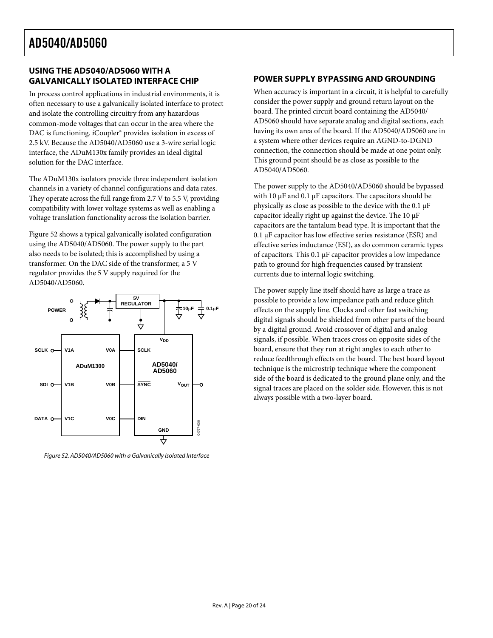#### <span id="page-19-0"></span>**USING THE AD5040/AD5060 WITH A GALVANICALLY ISOLATED INTERFACE CHIP**

In process control applications in industrial environments, it is often necessary to use a galvanically isolated interface to protect and isolate the controlling circuitry from any hazardous common-mode voltages that can occur in the area where the DAC is functioning. *i*Coupler® provides isolation in excess of 2.5 kV. Because the AD5040/AD5060 use a 3-wire serial logic interface, the ADuM130x family provides an ideal digital solution for the DAC interface.

The ADuM130x isolators provide three independent isolation channels in a variety of channel configurations and data rates. They operate across the full range from 2.7 V to 5.5 V, providing compatibility with lower voltage systems as well as enabling a voltage translation functionality across the isolation barrier.

[Figure 52](#page-19-1) shows a typical galvanically isolated configuration using the AD5040/AD5060. The power supply to the part also needs to be isolated; this is accomplished by using a transformer. On the DAC side of the transformer, a 5 V regulator provides the 5 V supply required for the AD5040/AD5060.



<span id="page-19-1"></span>Figure 52. AD5040/AD5060 with a Galvanically Isolated Interface

#### **POWER SUPPLY BYPASSING AND GROUNDING**

When accuracy is important in a circuit, it is helpful to carefully consider the power supply and ground return layout on the board. The printed circuit board containing the AD5040/ AD5060 should have separate analog and digital sections, each having its own area of the board. If the AD5040/AD5060 are in a system where other devices require an AGND-to-DGND connection, the connection should be made at one point only. This ground point should be as close as possible to the AD5040/AD5060.

The power supply to the AD5040/AD5060 should be bypassed with 10 μF and 0.1 μF capacitors. The capacitors should be physically as close as possible to the device with the 0.1 μF capacitor ideally right up against the device. The 10 μF capacitors are the tantalum bead type. It is important that the 0.1 μF capacitor has low effective series resistance (ESR) and effective series inductance (ESI), as do common ceramic types of capacitors. This 0.1 μF capacitor provides a low impedance path to ground for high frequencies caused by transient currents due to internal logic switching.

The power supply line itself should have as large a trace as possible to provide a low impedance path and reduce glitch effects on the supply line. Clocks and other fast switching digital signals should be shielded from other parts of the board by a digital ground. Avoid crossover of digital and analog signals, if possible. When traces cross on opposite sides of the board, ensure that they run at right angles to each other to reduce feedthrough effects on the board. The best board layout technique is the microstrip technique where the component side of the board is dedicated to the ground plane only, and the signal traces are placed on the solder side. However, this is not always possible with a two-layer board.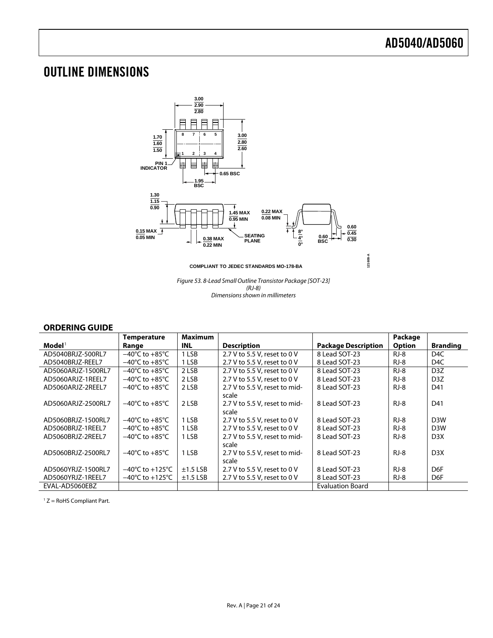### <span id="page-20-0"></span>OUTLINE DIMENSIONS



**COMPLIANT TO JEDEC STANDARDS MO-178-BA**

**121608-A**

Figure 53. 8-Lead Small Outline Transistor Package [SOT-23] (RJ-8) Dimensions shown in millimeters

#### **ORDERING GUIDE**

<span id="page-20-1"></span>

|                    | <b>Temperature</b>                  | <b>Maximum</b> |                               |                            | Package       |                  |
|--------------------|-------------------------------------|----------------|-------------------------------|----------------------------|---------------|------------------|
| $\mathbf{Model}^1$ | Range                               | INL            | <b>Description</b>            | <b>Package Description</b> | <b>Option</b> | <b>Branding</b>  |
| AD5040BRJZ-500RL7  | $-40^{\circ}$ C to $+85^{\circ}$ C  | 1 LSB          | 2.7 V to 5.5 V, reset to 0 V  | 8 Lead SOT-23              | $RJ-8$        | D <sub>4</sub> C |
| AD5040BRJZ-REEL7   | $-40^{\circ}$ C to $+85^{\circ}$ C  | 1 LSB          | 2.7 V to 5.5 V, reset to 0 V  | 8 Lead SOT-23              | $RJ-8$        | D <sub>4C</sub>  |
| AD5060ARJZ-1500RL7 | $-40^{\circ}$ C to $+85^{\circ}$ C  | 2 LSB          | 2.7 V to 5.5 V, reset to 0 V  | 8 Lead SOT-23              | $RJ-8$        | D <sub>3</sub> Z |
| AD5060ARJZ-1REEL7  | $-40^{\circ}$ C to $+85^{\circ}$ C  | 2 LSB          | 2.7 V to 5.5 V, reset to 0 V  | 8 Lead SOT-23              | $RJ-8$        | D <sub>3</sub> Z |
| AD5060ARJZ-2REEL7  | $-40^{\circ}$ C to $+85^{\circ}$ C  | 2 LSB          | 2.7 V to 5.5 V, reset to mid- | 8 Lead SOT-23              | $RJ-8$        | D41              |
|                    |                                     |                | scale                         |                            |               |                  |
| AD5060ARJZ-2500RL7 | $-40^{\circ}$ C to $+85^{\circ}$ C  | 2 LSB          | 2.7 V to 5.5 V, reset to mid- | 8 Lead SOT-23              | RJ-8          | D41              |
|                    |                                     |                | scale                         |                            |               |                  |
| AD5060BRJZ-1500RL7 | $-40^{\circ}$ C to $+85^{\circ}$ C  | 1 LSB          | 2.7 V to 5.5 V, reset to 0 V  | 8 Lead SOT-23              | $RJ-8$        | D <sub>3</sub> W |
| AD5060BRJZ-1REEL7  | $-40^{\circ}$ C to $+85^{\circ}$ C  | 1 LSB          | 2.7 V to 5.5 V, reset to 0 V  | 8 Lead SOT-23              | $RJ-8$        | D <sub>3</sub> W |
| AD5060BRJZ-2REEL7  | $-40^{\circ}$ C to $+85^{\circ}$ C  | 1 LSB          | 2.7 V to 5.5 V, reset to mid- | 8 Lead SOT-23              | RJ-8          | D <sub>3</sub> X |
|                    |                                     |                | scale                         |                            |               |                  |
| AD5060BRJZ-2500RL7 | $-40^{\circ}$ C to $+85^{\circ}$ C  | 1 LSB          | 2.7 V to 5.5 V, reset to mid- | 8 Lead SOT-23              | $RJ-8$        | D <sub>3</sub> X |
|                    |                                     |                | scale                         |                            |               |                  |
| AD5060YRJZ-1500RL7 | $-40^{\circ}$ C to $+125^{\circ}$ C | $±1.5$ LSB     | 2.7 V to 5.5 V, reset to 0 V  | 8 Lead SOT-23              | $RJ-8$        | D <sub>6</sub> F |
| AD5060YRJZ-1REEL7  | $-40^{\circ}$ C to $+125^{\circ}$ C | $\pm$ 1.5 LSB  | 2.7 V to 5.5 V, reset to 0 V  | 8 Lead SOT-23              | RJ-8          | D6F              |
| EVAL-AD5060EBZ     |                                     |                |                               | <b>Evaluation Board</b>    |               |                  |

 $1 Z =$  RoHS Compliant Part.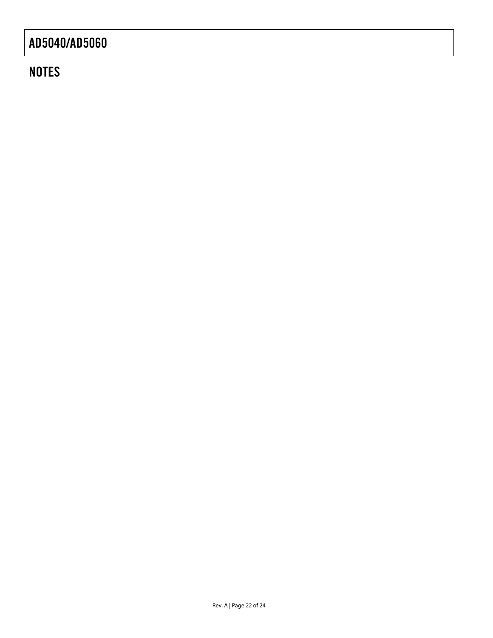### **NOTES**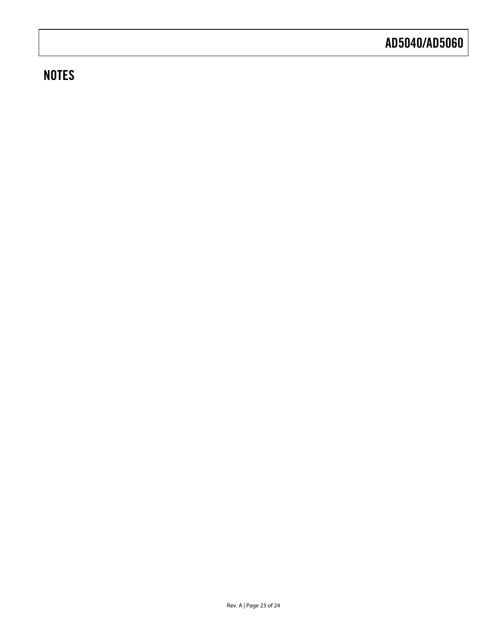### **NOTES**